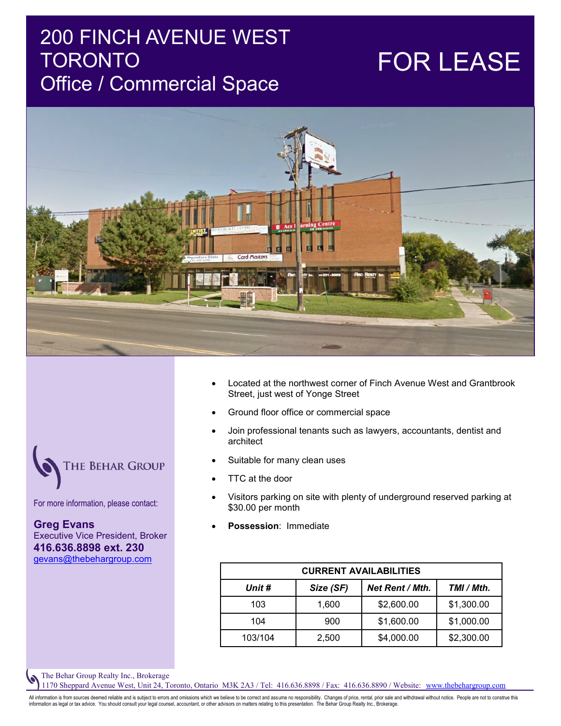### 200 FINCH AVENUE WEST **TORONTO** Office / Commercial Space

# FOR LEASE



- Located at the northwest corner of Finch Avenue West and Grantbrook Street, just west of Yonge Street
- Ground floor office or commercial space
- Join professional tenants such as lawyers, accountants, dentist and architect
- Suitable for many clean uses
- TTC at the door
- Visitors parking on site with plenty of underground reserved parking at \$30.00 per month
- **Possession**: Immediate

| <b>CURRENT AVAILABILITIES</b> |           |                 |            |
|-------------------------------|-----------|-----------------|------------|
| Unit #                        | Size (SF) | Net Rent / Mth. | TMI / Mth. |
| 103                           | 1,600     | \$2,600.00      | \$1,300.00 |
| 104                           | 900       | \$1,600.00      | \$1,000.00 |
| 103/104                       | 2,500     | \$4,000.00      | \$2,300.00 |

The Behar Group Realty Inc., Brokerage

1170 Sheppard Avenue West, Unit 24, Toronto, Ontario M3K 2A3 / Tel: 416.636.8898 / Fax: 416.636.8890 / Website: www.thebehargroup.com

All information is from sources deemed reliable and is subject to errors and omissions which we believe to be correct and assume no responsibility. Changes of price, rental, prior sale and withdrawal without notice. People information as legal or tax advice. You should consult your legal counsel, accountant, or other advisors on matters relating to this presentation. The Behar Group Realty Inc., Brokerage.

**THE BEHAR GROUP** 

For more information, please contact:

**Greg Evans** Executive Vice President, Broker **416.636.8898 ext. 230** gevans@thebehargroup.com